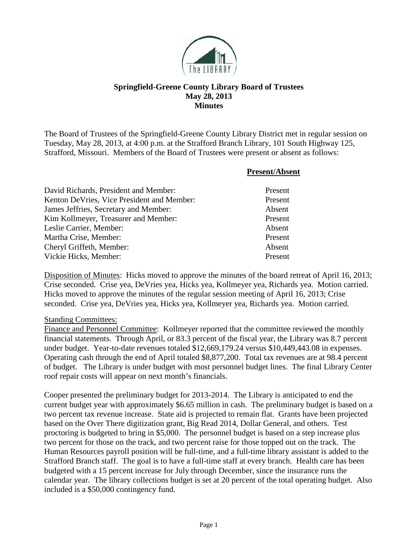

## **Springfield-Greene County Library Board of Trustees May 28, 2013 Minutes**

The Board of Trustees of the Springfield-Greene County Library District met in regular session on Tuesday, May 28, 2013, at 4:00 p.m. at the Strafford Branch Library, 101 South Highway 125, Strafford, Missouri. Members of the Board of Trustees were present or absent as follows:

|                                            | <b>Present/Absent</b> |
|--------------------------------------------|-----------------------|
| David Richards, President and Member:      | Present               |
| Kenton DeVries, Vice President and Member: | Present               |
| James Jeffries, Secretary and Member:      | Absent                |
| Kim Kollmeyer, Treasurer and Member:       | Present               |
| Leslie Carrier, Member:                    | Absent                |
| Martha Crise, Member:                      | Present               |
| Cheryl Griffeth, Member:                   | Absent                |
| Vickie Hicks, Member:                      | Present               |

Disposition of Minutes: Hicks moved to approve the minutes of the board retreat of April 16, 2013; Crise seconded. Crise yea, DeVries yea, Hicks yea, Kollmeyer yea, Richards yea. Motion carried. Hicks moved to approve the minutes of the regular session meeting of April 16, 2013; Crise seconded. Crise yea, DeVries yea, Hicks yea, Kollmeyer yea, Richards yea. Motion carried.

## Standing Committees:

Finance and Personnel Committee: Kollmeyer reported that the committee reviewed the monthly financial statements. Through April, or 83.3 percent of the fiscal year, the Library was 8.7 percent under budget. Year-to-date revenues totaled \$12,669,179.24 versus \$10,449,443.08 in expenses. Operating cash through the end of April totaled \$8,877,200. Total tax revenues are at 98.4 percent of budget. The Library is under budget with most personnel budget lines. The final Library Center roof repair costs will appear on next month's financials.

Cooper presented the preliminary budget for 2013-2014. The Library is anticipated to end the current budget year with approximately \$6.65 million in cash. The preliminary budget is based on a two percent tax revenue increase. State aid is projected to remain flat. Grants have been projected based on the Over There digitization grant, Big Read 2014, Dollar General, and others. Test proctoring is budgeted to bring in \$5,000. The personnel budget is based on a step increase plus two percent for those on the track, and two percent raise for those topped out on the track. The Human Resources payroll position will be full-time, and a full-time library assistant is added to the Strafford Branch staff. The goal is to have a full-time staff at every branch. Health care has been budgeted with a 15 percent increase for July through December, since the insurance runs the calendar year. The library collections budget is set at 20 percent of the total operating budget. Also included is a \$50,000 contingency fund.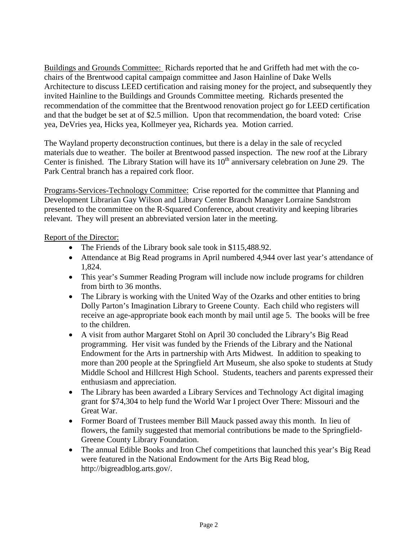Buildings and Grounds Committee: Richards reported that he and Griffeth had met with the cochairs of the Brentwood capital campaign committee and Jason Hainline of Dake Wells Architecture to discuss LEED certification and raising money for the project, and subsequently they invited Hainline to the Buildings and Grounds Committee meeting. Richards presented the recommendation of the committee that the Brentwood renovation project go for LEED certification and that the budget be set at of \$2.5 million. Upon that recommendation, the board voted: Crise yea, DeVries yea, Hicks yea, Kollmeyer yea, Richards yea. Motion carried.

The Wayland property deconstruction continues, but there is a delay in the sale of recycled materials due to weather. The boiler at Brentwood passed inspection. The new roof at the Library Center is finished. The Library Station will have its  $10<sup>th</sup>$  anniversary celebration on June 29. The Park Central branch has a repaired cork floor.

Programs-Services-Technology Committee: Crise reported for the committee that Planning and Development Librarian Gay Wilson and Library Center Branch Manager Lorraine Sandstrom presented to the committee on the R-Squared Conference, about creativity and keeping libraries relevant. They will present an abbreviated version later in the meeting.

## Report of the Director:

- The Friends of the Library book sale took in \$115,488.92.
- Attendance at Big Read programs in April numbered 4,944 over last year's attendance of 1,824.
- This year's Summer Reading Program will include now include programs for children from birth to 36 months.
- The Library is working with the United Way of the Ozarks and other entities to bring Dolly Parton's Imagination Library to Greene County. Each child who registers will receive an age-appropriate book each month by mail until age 5. The books will be free to the children.
- A visit from author Margaret Stohl on April 30 concluded the Library's Big Read programming. Her visit was funded by the Friends of the Library and the National Endowment for the Arts in partnership with Arts Midwest. In addition to speaking to more than 200 people at the Springfield Art Museum, she also spoke to students at Study Middle School and Hillcrest High School. Students, teachers and parents expressed their enthusiasm and appreciation.
- The Library has been awarded a Library Services and Technology Act digital imaging grant for \$74,304 to help fund the World War I project Over There: Missouri and the Great War.
- Former Board of Trustees member Bill Mauck passed away this month. In lieu of flowers, the family suggested that memorial contributions be made to the Springfield-Greene County Library Foundation.
- The annual Edible Books and Iron Chef competitions that launched this year's Big Read were featured in the National Endowment for the Arts Big Read blog, http://bigreadblog.arts.gov/.